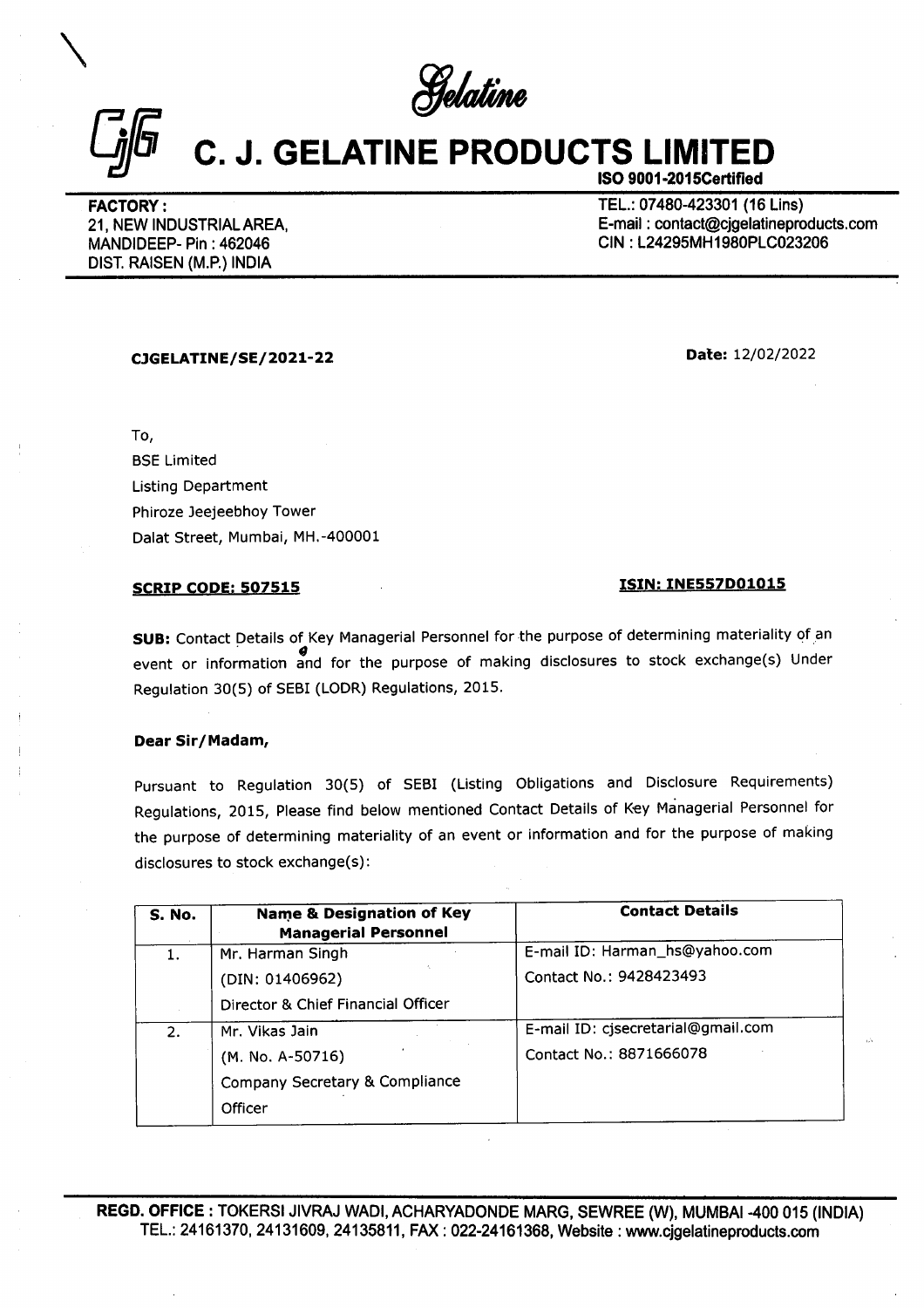Selatine

# $C_{jj}$   $C_{.}$   $J.$  GELATINE PF C. J. GELATINE PRODUCTS LIMITED

ISO 9001-2015Certified

**CONTRACTORY:**<br>
FACTORY:<br>
21, NEW INDUSTRIAL AREA,<br>
MANDIDEEP- Pin : 462046<br>
DIST. RAISEN (M.P.) INDIA FACTORY : TEL.: 07480-423301 (16 Lins) 21, NEW INDUSTRIAL AREA, **E-mail : contact@cjgelatineproducts.com** MANDIDEEP- Pin : 462046 CIN : L24295MH1980PLC023206 DIST. RAISEN (M.P.) INDIA

# SCRIP CODE: 507515 1SIN: INE557D01015

## Dear Sir/Madam,

Pursuant to Regulation 30(5) of SEBI (Listing Obligations and Disclosure Requirements) Regulations, 2015, Please find below mentioned Contact Details of Key Managerial Personnel for the purpose of determining materiality of an event or information and for the purpose of making **NRY:**<br>
WINDUSTRIAL AREA,<br>
WINDUSTRIAL AREA,<br>
MEDEP- Pin : 462046<br>
AAISEN (M.P.) INDIA<br>
SEE Limited<br>
Listing Department<br>
Phiroze Jeejeebhoy Tower<br>
Dalat Street, Mumbai, MH.-400001<br>
SCRIP CODE: 507515<br>
SUB: Contact Details DEEP- Pin : 462046<br>
MAISEN (M.P.) INDIA<br>
MAISEN (M.P.) INDIA<br>
ISSNET CODE: 507515<br>
SCRIP CODE: 507515<br>
SUB: Contact Details of Key Managerial Personnel<br>
SCRIP CODE: 507515<br>
SUB: Contact Details of Key Managerial Personnel<br> disclosures to stock exchange(s):

|                           | CJGELATINE/SE/2021-22                                                                                                                                                                                                                                                                                                            |                                                                                           |
|---------------------------|----------------------------------------------------------------------------------------------------------------------------------------------------------------------------------------------------------------------------------------------------------------------------------------------------------------------------------|-------------------------------------------------------------------------------------------|
| To,                       |                                                                                                                                                                                                                                                                                                                                  |                                                                                           |
| <b>BSE Limited</b>        |                                                                                                                                                                                                                                                                                                                                  |                                                                                           |
| <b>Listing Department</b> |                                                                                                                                                                                                                                                                                                                                  |                                                                                           |
|                           | Phiroze Jeejeebhoy Tower                                                                                                                                                                                                                                                                                                         |                                                                                           |
|                           | Dalat Street, Mumbai, MH.-400001                                                                                                                                                                                                                                                                                                 |                                                                                           |
|                           | <b>SCRIP CODE: 507515</b>                                                                                                                                                                                                                                                                                                        | <u>ISIN: INE557D01015</u>                                                                 |
|                           | Regulation 30(5) of SEBI (LODR) Regulations, 2015.                                                                                                                                                                                                                                                                               | event or information and for the purpose of making disclosures to stock exchange(s) Under |
| Dear Sir/Madam,           | Pursuant to Regulation 30(5) of SEBI (Listing Obligations and Disclosure Requirements)<br>Regulations, 2015, Please find below mentioned Contact Details of Key Managerial Personnel for<br>the purpose of determining materiality of an event or information and for the purpose of making<br>disclosures to stock exchange(s): |                                                                                           |
| <b>S. No.</b>             | <b>Name &amp; Designation of Key</b>                                                                                                                                                                                                                                                                                             | <b>Contact Details</b>                                                                    |
|                           | <b>Managerial Personnel</b>                                                                                                                                                                                                                                                                                                      |                                                                                           |
| 1.                        | Mr. Harman Singh                                                                                                                                                                                                                                                                                                                 | E-mail ID: Harman_hs@yahoo.com<br>Contact No.: 9428423493                                 |
|                           | (DIN: 01406962)                                                                                                                                                                                                                                                                                                                  |                                                                                           |
|                           | Director & Chief Financial Officer                                                                                                                                                                                                                                                                                               |                                                                                           |
| 2.                        | Mr. Vikas Jain                                                                                                                                                                                                                                                                                                                   | E-mail ID: cjsecretarial@gmail.com<br>Contact No.: 8871666078                             |
|                           | (M. No. A-50716)                                                                                                                                                                                                                                                                                                                 |                                                                                           |
|                           | Company Secretary & Compliance<br>Officer                                                                                                                                                                                                                                                                                        |                                                                                           |